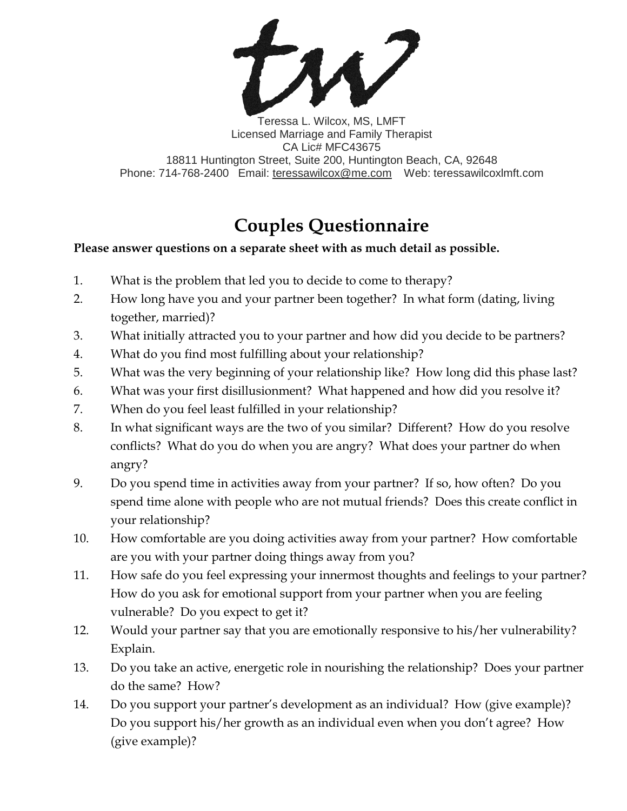

Teressa L. Wilcox, MS, LMFT Licensed Marriage and Family Therapist CA Lic# MFC43675 18811 Huntington Street, Suite 200, Huntington Beach, CA, 92648 Phone: 714-768-2400 Email: [teressawilcox@me.com](mailto:teressawilcox@me.com) Web: teressawilcoxlmft.com

## **Couples Questionnaire**

## **Please answer questions on a separate sheet with as much detail as possible.**

- 1. What is the problem that led you to decide to come to therapy?
- 2. How long have you and your partner been together? In what form (dating, living together, married)?
- 3. What initially attracted you to your partner and how did you decide to be partners?
- 4. What do you find most fulfilling about your relationship?
- 5. What was the very beginning of your relationship like? How long did this phase last?
- 6. What was your first disillusionment? What happened and how did you resolve it?
- 7. When do you feel least fulfilled in your relationship?
- 8. In what significant ways are the two of you similar? Different? How do you resolve conflicts? What do you do when you are angry? What does your partner do when angry?
- 9. Do you spend time in activities away from your partner? If so, how often? Do you spend time alone with people who are not mutual friends? Does this create conflict in your relationship?
- 10. How comfortable are you doing activities away from your partner? How comfortable are you with your partner doing things away from you?
- 11. How safe do you feel expressing your innermost thoughts and feelings to your partner? How do you ask for emotional support from your partner when you are feeling vulnerable? Do you expect to get it?
- 12. Would your partner say that you are emotionally responsive to his/her vulnerability? Explain.
- 13. Do you take an active, energetic role in nourishing the relationship? Does your partner do the same? How?
- 14. Do you support your partner's development as an individual? How (give example)? Do you support his/her growth as an individual even when you don't agree? How (give example)?